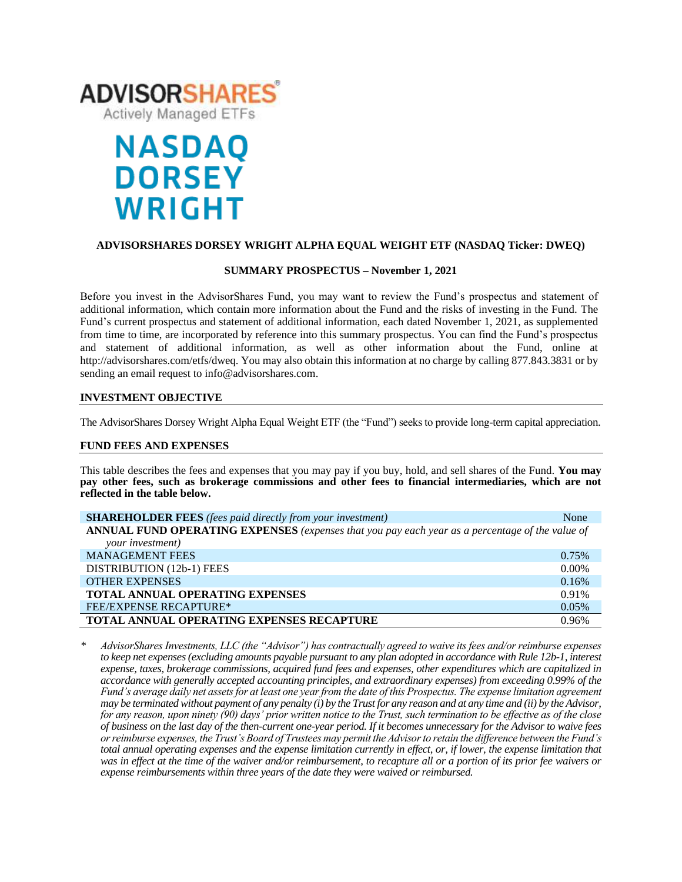

# **NASDAQ DORSEY WRIGHT**

## **ADVISORSHARES DORSEY WRIGHT ALPHA EQUAL WEIGHT ETF (NASDAQ Ticker: DWEQ)**

### **SUMMARY PROSPECTUS – November 1, 2021**

Before you invest in the AdvisorShares Fund, you may want to review the Fund's prospectus and statement of additional information, which contain more information about the Fund and the risks of investing in the Fund. The Fund's [current prospectus and statement of additional information,](https://www.sec.gov/Archives/edgar/data/1408970/000182912620000018/advisorshares_485bpos.htm) each dated November 1, 2021, as supplemented from time to time, are incorporated by reference into this summary prospectus. You can find the Fund's prospectus and statement of additional information, as well as other information about the Fund, online at http://advisorshares.com/etfs/dweq. You may also obtain this information at no charge by calling 877.843.3831 or by sending an email request to info@advisorshares.com.

## **INVESTMENT OBJECTIVE**

The AdvisorShares Dorsey Wright Alpha Equal Weight ETF (the "Fund") seeks to provide long-term capital appreciation.

#### **FUND FEES AND EXPENSES**

This table describes the fees and expenses that you may pay if you buy, hold, and sell shares of the Fund. **You may pay other fees, such as brokerage commissions and other fees to financial intermediaries, which are not reflected in the table below.**

| <b>SHAREHOLDER FEES</b> (fees paid directly from your investment)                               | None     |  |  |
|-------------------------------------------------------------------------------------------------|----------|--|--|
| ANNUAL FUND OPERATING EXPENSES (expenses that you pay each year as a percentage of the value of |          |  |  |
| your investment)                                                                                |          |  |  |
| <b>MANAGEMENT FEES</b>                                                                          | 0.75%    |  |  |
| DISTRIBUTION (12b-1) FEES                                                                       | $0.00\%$ |  |  |
| <b>OTHER EXPENSES</b>                                                                           | 0.16%    |  |  |
| <b>TOTAL ANNUAL OPERATING EXPENSES</b>                                                          | 0.91%    |  |  |
| <b>FEE/EXPENSE RECAPTURE*</b>                                                                   | 0.05%    |  |  |
| <b>TOTAL ANNUAL OPERATING EXPENSES RECAPTURE</b>                                                | 0.96%    |  |  |

*\* AdvisorShares Investments, LLC (the "Advisor") has contractually agreed to waive its fees and/or reimburse expenses to keep net expenses (excluding amounts payable pursuant to any plan adopted in accordance with Rule 12b-1, interest expense, taxes, brokerage commissions, acquired fund fees and expenses, other expenditures which are capitalized in accordance with generally accepted accounting principles, and extraordinary expenses) from exceeding 0.99% of the Fund's average daily net assets for at least one year from the date of this Prospectus. The expense limitation agreement may be terminated without payment of any penalty (i) by the Trust for any reason and at any time and (ii) by the Advisor, for any reason, upon ninety (90) days' prior written notice to the Trust, such termination to be effective as of the close of business on the last day of the then-current one-year period. Ifit becomes unnecessary for the Advisor to waive fees or reimburse expenses, the Trust's Board of Trustees may permit the Advisor to retain the difference between the Fund's total annual operating expenses and the expense limitation currently in effect, or, if lower, the expense limitation that was in effect at the time of the waiver and/or reimbursement, to recapture all or a portion of its prior fee waivers or expense reimbursements within three years of the date they were waived or reimbursed.*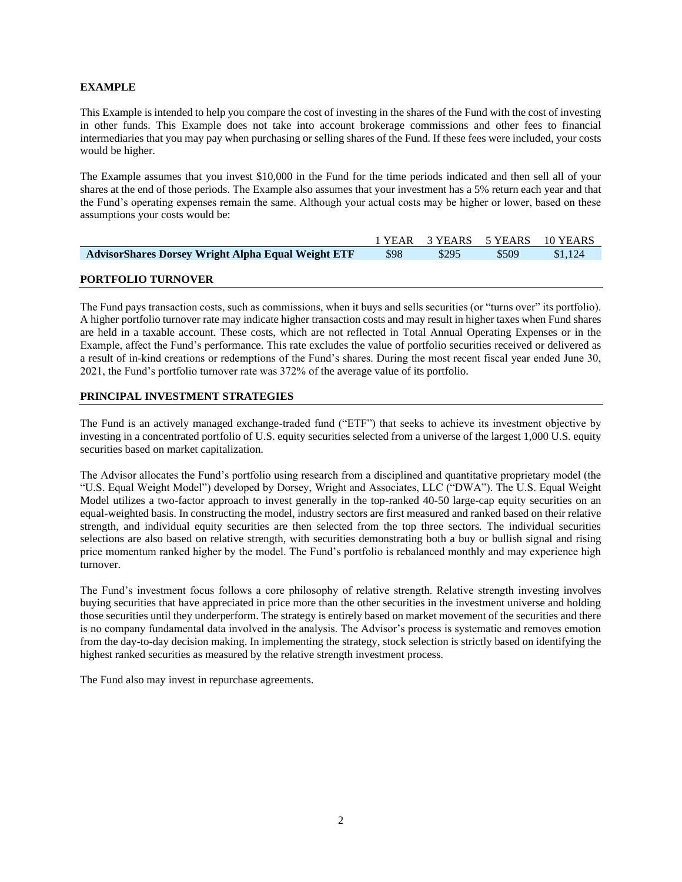## **EXAMPLE**

This Example is intended to help you compare the cost of investing in the shares of the Fund with the cost of investing in other funds. This Example does not take into account brokerage commissions and other fees to financial intermediaries that you may pay when purchasing or selling shares of the Fund. If these fees were included, your costs would be higher.

The Example assumes that you invest \$10,000 in the Fund for the time periods indicated and then sell all of your shares at the end of those periods. The Example also assumes that your investment has a 5% return each year and that the Fund's operating expenses remain the same. Although your actual costs may be higher or lower, based on these assumptions your costs would be:

|                                                           |      |       |       | 1 YEAR 3 YEARS 5 YEARS 10 YEARS |
|-----------------------------------------------------------|------|-------|-------|---------------------------------|
| <b>AdvisorShares Dorsey Wright Alpha Equal Weight ETF</b> | \$98 | \$295 | \$509 | \$1,124                         |
|                                                           |      |       |       |                                 |

### **PORTFOLIO TURNOVER**

The Fund pays transaction costs, such as commissions, when it buys and sells securities (or "turns over" its portfolio). A higher portfolio turnover rate may indicate higher transaction costs and may result in higher taxes when Fund shares are held in a taxable account. These costs, which are not reflected in Total Annual Operating Expenses or in the Example, affect the Fund's performance. This rate excludes the value of portfolio securities received or delivered as a result of in-kind creations or redemptions of the Fund's shares. During the most recent fiscal year ended June 30, 2021, the Fund's portfolio turnover rate was 372% of the average value of its portfolio.

## **PRINCIPAL INVESTMENT STRATEGIES**

The Fund is an actively managed exchange-traded fund ("ETF") that seeks to achieve its investment objective by investing in a concentrated portfolio of U.S. equity securities selected from a universe of the largest 1,000 U.S. equity securities based on market capitalization.

The Advisor allocates the Fund's portfolio using research from a disciplined and quantitative proprietary model (the "U.S. Equal Weight Model") developed by Dorsey, Wright and Associates, LLC ("DWA"). The U.S. Equal Weight Model utilizes a two-factor approach to invest generally in the top-ranked 40-50 large-cap equity securities on an equal-weighted basis. In constructing the model, industry sectors are first measured and ranked based on their relative strength, and individual equity securities are then selected from the top three sectors. The individual securities selections are also based on relative strength, with securities demonstrating both a buy or bullish signal and rising price momentum ranked higher by the model. The Fund's portfolio is rebalanced monthly and may experience high turnover.

The Fund's investment focus follows a core philosophy of relative strength. Relative strength investing involves buying securities that have appreciated in price more than the other securities in the investment universe and holding those securities until they underperform. The strategy is entirely based on market movement of the securities and there is no company fundamental data involved in the analysis. The Advisor's process is systematic and removes emotion from the day-to-day decision making. In implementing the strategy, stock selection is strictly based on identifying the highest ranked securities as measured by the relative strength investment process.

The Fund also may invest in repurchase agreements.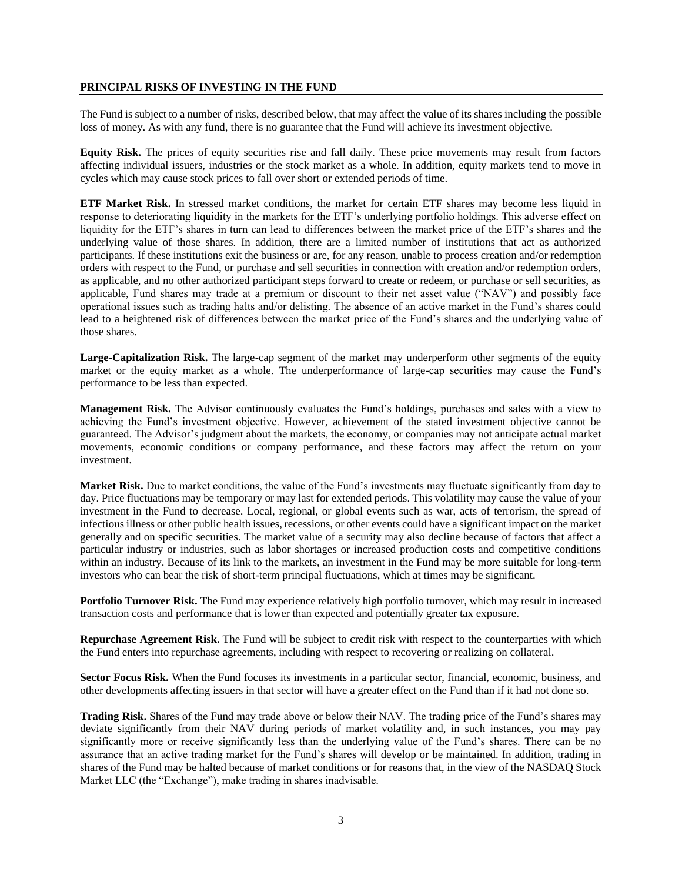#### **PRINCIPAL RISKS OF INVESTING IN THE FUND**

The Fund is subject to a number of risks, described below, that may affect the value of its shares including the possible loss of money. As with any fund, there is no guarantee that the Fund will achieve its investment objective.

**Equity Risk.** The prices of equity securities rise and fall daily. These price movements may result from factors affecting individual issuers, industries or the stock market as a whole. In addition, equity markets tend to move in cycles which may cause stock prices to fall over short or extended periods of time.

**ETF Market Risk.** In stressed market conditions, the market for certain ETF shares may become less liquid in response to deteriorating liquidity in the markets for the ETF's underlying portfolio holdings. This adverse effect on liquidity for the ETF's shares in turn can lead to differences between the market price of the ETF's shares and the underlying value of those shares. In addition, there are a limited number of institutions that act as authorized participants. If these institutions exit the business or are, for any reason, unable to process creation and/or redemption orders with respect to the Fund, or purchase and sell securities in connection with creation and/or redemption orders, as applicable, and no other authorized participant steps forward to create or redeem, or purchase or sell securities, as applicable, Fund shares may trade at a premium or discount to their net asset value ("NAV") and possibly face operational issues such as trading halts and/or delisting. The absence of an active market in the Fund's shares could lead to a heightened risk of differences between the market price of the Fund's shares and the underlying value of those shares.

**Large-Capitalization Risk.** The large-cap segment of the market may underperform other segments of the equity market or the equity market as a whole. The underperformance of large-cap securities may cause the Fund's performance to be less than expected.

**Management Risk.** The Advisor continuously evaluates the Fund's holdings, purchases and sales with a view to achieving the Fund's investment objective. However, achievement of the stated investment objective cannot be guaranteed. The Advisor's judgment about the markets, the economy, or companies may not anticipate actual market movements, economic conditions or company performance, and these factors may affect the return on your investment.

**Market Risk.** Due to market conditions, the value of the Fund's investments may fluctuate significantly from day to day. Price fluctuations may be temporary or may last for extended periods. This volatility may cause the value of your investment in the Fund to decrease. Local, regional, or global events such as war, acts of terrorism, the spread of infectious illness or other public health issues, recessions, or other events could have a significant impact on the market generally and on specific securities. The market value of a security may also decline because of factors that affect a particular industry or industries, such as labor shortages or increased production costs and competitive conditions within an industry. Because of its link to the markets, an investment in the Fund may be more suitable for long-term investors who can bear the risk of short-term principal fluctuations, which at times may be significant.

**Portfolio Turnover Risk.** The Fund may experience relatively high portfolio turnover, which may result in increased transaction costs and performance that is lower than expected and potentially greater tax exposure.

**Repurchase Agreement Risk.** The Fund will be subject to credit risk with respect to the counterparties with which the Fund enters into repurchase agreements, including with respect to recovering or realizing on collateral.

**Sector Focus Risk.** When the Fund focuses its investments in a particular sector, financial, economic, business, and other developments affecting issuers in that sector will have a greater effect on the Fund than if it had not done so.

**Trading Risk.** Shares of the Fund may trade above or below their NAV. The trading price of the Fund's shares may deviate significantly from their NAV during periods of market volatility and, in such instances, you may pay significantly more or receive significantly less than the underlying value of the Fund's shares. There can be no assurance that an active trading market for the Fund's shares will develop or be maintained. In addition, trading in shares of the Fund may be halted because of market conditions or for reasons that, in the view of the NASDAQ Stock Market LLC (the "Exchange"), make trading in shares inadvisable.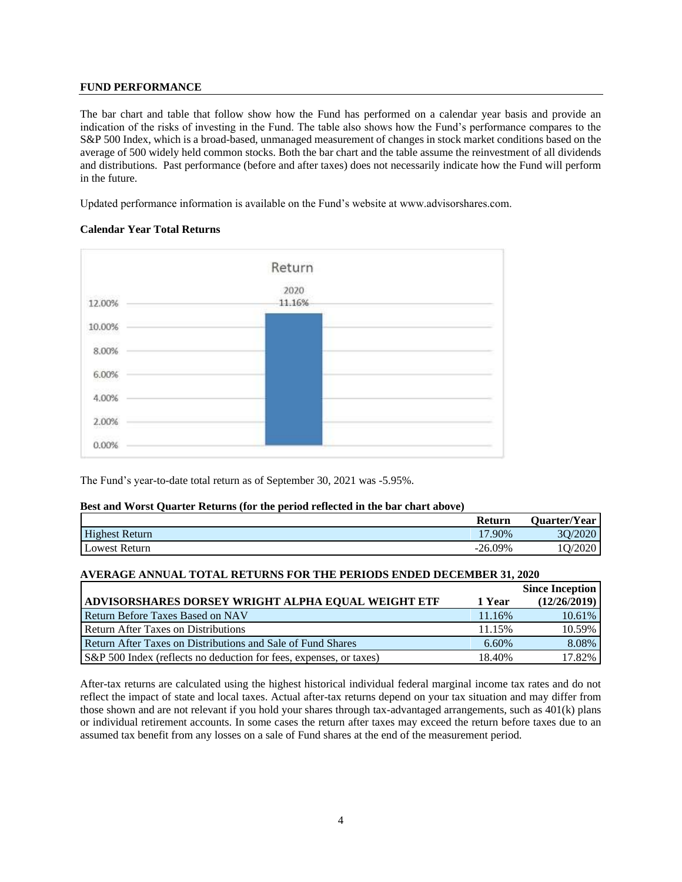## **FUND PERFORMANCE**

The bar chart and table that follow show how the Fund has performed on a calendar year basis and provide an indication of the risks of investing in the Fund. The table also shows how the Fund's performance compares to the S&P 500 Index, which is a broad-based, unmanaged measurement of changes in stock market conditions based on the average of 500 widely held common stocks. Both the bar chart and the table assume the reinvestment of all dividends and distributions. Past performance (before and after taxes) does not necessarily indicate how the Fund will perform in the future.

Updated performance information is available on the Fund's website at www.advisorshares.com.

### **Calendar Year Total Returns**



The Fund's year-to-date total return as of September 30, 2021 was -5.95%.

#### **Best and Worst Quarter Returns (for the period reflected in the bar chart above)**

|                       | Return    | <b>Quarter/Year</b> |
|-----------------------|-----------|---------------------|
| <b>Highest Return</b> | 17.90%    | /2020<br>30/2       |
| Lowest Return         | $-26.09%$ | 10/2020             |

## **AVERAGE ANNUAL TOTAL RETURNS FOR THE PERIODS ENDED DECEMBER 31, 2020**

|                                                                    |        | <b>Since Inception</b> |
|--------------------------------------------------------------------|--------|------------------------|
| ADVISORSHARES DORSEY WRIGHT ALPHA EQUAL WEIGHT ETF                 | 1 Year | (12/26/2019)           |
| <b>Return Before Taxes Based on NAV</b>                            | 11.16% | 10.61%                 |
| <b>Return After Taxes on Distributions</b>                         | 11.15% | 10.59%                 |
| Return After Taxes on Distributions and Sale of Fund Shares        | 6.60%  | 8.08%                  |
| S&P 500 Index (reflects no deduction for fees, expenses, or taxes) | 18.40% | 17.82%                 |

After-tax returns are calculated using the highest historical individual federal marginal income tax rates and do not reflect the impact of state and local taxes. Actual after-tax returns depend on your tax situation and may differ from those shown and are not relevant if you hold your shares through tax-advantaged arrangements, such as 401(k) plans or individual retirement accounts. In some cases the return after taxes may exceed the return before taxes due to an assumed tax benefit from any losses on a sale of Fund shares at the end of the measurement period.